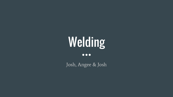# Welding

 $\bullet\bullet\bullet$ 

Josh, Angee & Josh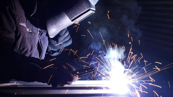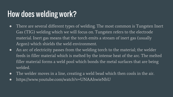#### How does welding work?

- There are several different types of welding. The most common is Tungsten Inert Gas (TIG) welding which we will focus on. Tungsten refers to the electrode material. Inert gas means that the torch emits a stream of inert gas (usually Argon) which shields the weld environment.
- An arc of electricity passes from the welding torch to the material; the welder feeds in filler material which is melted by the intense heat of the arc. The melted filler material forms a weld pool which bonds the metal surfaces that are being welded.
- The welder moves in a line, creating a weld bead which then cools in the air.
- https://www.youtube.com/watch?v=UNAAhwieNhU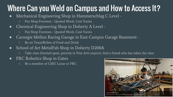## Where Can you Weld on Campus and How to Access It?

- Mechanical Engineering Shop in Hammerschlag C Level
	- Pay Shop Foremen Quoted Work, Cost Varies
- Chemical Engineering Shop in Doherty A Level -
	- Pay Shop Foremen Quoted Work, Cost Varies
- Carnegie Mellon Racing Garage in East Campus Garage Basement -
	- Be on Team/Bribes of Food and Drink
- School of Art MetalFab Shop in Doherty D200A
	- Take class (limited spots, priority to Fine Arts majors), find a friend who has taken the class
- FRC Robotics Shop in Gates
	- Be a member of CMU Lunar or FRC

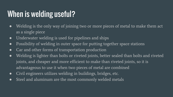### When is welding useful?

- Welding is the only way of joining two or more pieces of metal to make them act as a single piece
- Underwater welding is used for pipelines and ships
- Possibility of welding in outer space for putting together space stations
- Car and other forms of transportation production
- Welding is lighter than bolts or riveted joints, better sealed than bolts and riveted joints, and cheaper and more efficient to make than riveted joints, so it is advantageous to use it when two pieces of metal are combined
- Civil engineers utilizes welding in buildings, bridges, etc.
- Steel and aluminum are the most commonly welded metals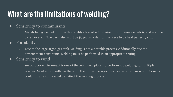## What are the limitations of welding?

#### ● Sensitivity to contaminants

- Metals being welded must be thoroughly cleaned with a wire brush to remove debris, and acetone to remove oils. The parts also must be jigged in order for the piece to be held perfectly still.
- Portability
	- Due to the large argon gas tank, welding is not a portable process. Additionally due the environment constraints, welding must be performed in an appropriate setting.
- Sensitivity to wind
	- An outdoor environment is one of the least ideal places to perform arc welding, for multiple reasons. Most importantly, in the wind the protective argon gas can be blown away, additionally contaminants in the wind can affect the welding process.